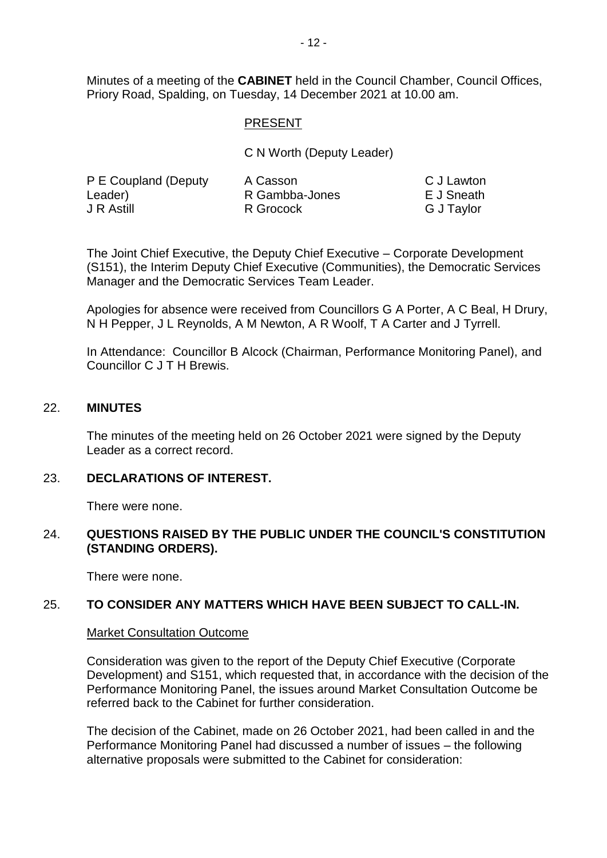Minutes of a meeting of the **CABINET** held in the Council Chamber, Council Offices, Priory Road, Spalding, on Tuesday, 14 December 2021 at 10.00 am.

## PRESENT

C N Worth (Deputy Leader)

| P E Coupland (Deputy | A Casson       | C J Lawton |
|----------------------|----------------|------------|
| Leader)              | R Gambba-Jones | E J Sneath |
| J R Astill           | R Grocock      | G J Taylor |

The Joint Chief Executive, the Deputy Chief Executive – Corporate Development (S151), the Interim Deputy Chief Executive (Communities), the Democratic Services Manager and the Democratic Services Team Leader.

Apologies for absence were received from Councillors G A Porter, A C Beal, H Drury, N H Pepper, J L Reynolds, A M Newton, A R Woolf, T A Carter and J Tyrrell.

In Attendance: Councillor B Alcock (Chairman, Performance Monitoring Panel), and Councillor C J T H Brewis.

#### 22. **MINUTES**

The minutes of the meeting held on 26 October 2021 were signed by the Deputy Leader as a correct record.

#### 23. **DECLARATIONS OF INTEREST.**

There were none.

## 24. **QUESTIONS RAISED BY THE PUBLIC UNDER THE COUNCIL'S CONSTITUTION (STANDING ORDERS).**

There were none.

#### 25. **TO CONSIDER ANY MATTERS WHICH HAVE BEEN SUBJECT TO CALL-IN.**

#### Market Consultation Outcome

Consideration was given to the report of the Deputy Chief Executive (Corporate Development) and S151, which requested that, in accordance with the decision of the Performance Monitoring Panel, the issues around Market Consultation Outcome be referred back to the Cabinet for further consideration.

The decision of the Cabinet, made on 26 October 2021, had been called in and the Performance Monitoring Panel had discussed a number of issues – the following alternative proposals were submitted to the Cabinet for consideration: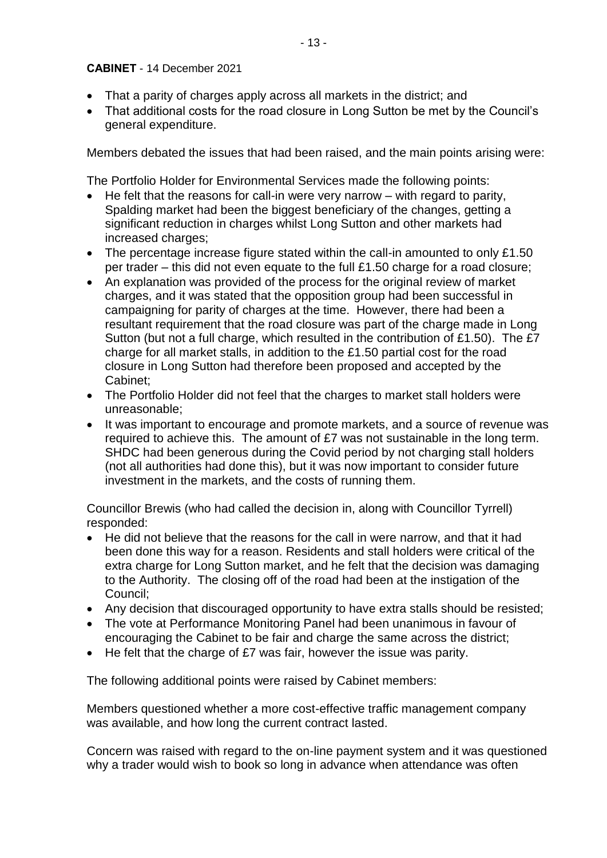- That a parity of charges apply across all markets in the district; and
- That additional costs for the road closure in Long Sutton be met by the Council's general expenditure.

Members debated the issues that had been raised, and the main points arising were:

The Portfolio Holder for Environmental Services made the following points:

- $\bullet$  He felt that the reasons for call-in were very narrow  $-$  with regard to parity, Spalding market had been the biggest beneficiary of the changes, getting a significant reduction in charges whilst Long Sutton and other markets had increased charges;
- The percentage increase figure stated within the call-in amounted to only £1.50 per trader – this did not even equate to the full £1.50 charge for a road closure;
- An explanation was provided of the process for the original review of market charges, and it was stated that the opposition group had been successful in campaigning for parity of charges at the time. However, there had been a resultant requirement that the road closure was part of the charge made in Long Sutton (but not a full charge, which resulted in the contribution of £1.50). The £7 charge for all market stalls, in addition to the £1.50 partial cost for the road closure in Long Sutton had therefore been proposed and accepted by the Cabinet;
- The Portfolio Holder did not feel that the charges to market stall holders were unreasonable;
- It was important to encourage and promote markets, and a source of revenue was required to achieve this. The amount of £7 was not sustainable in the long term. SHDC had been generous during the Covid period by not charging stall holders (not all authorities had done this), but it was now important to consider future investment in the markets, and the costs of running them.

Councillor Brewis (who had called the decision in, along with Councillor Tyrrell) responded:

- He did not believe that the reasons for the call in were narrow, and that it had been done this way for a reason. Residents and stall holders were critical of the extra charge for Long Sutton market, and he felt that the decision was damaging to the Authority. The closing off of the road had been at the instigation of the Council;
- Any decision that discouraged opportunity to have extra stalls should be resisted;
- The vote at Performance Monitoring Panel had been unanimous in favour of encouraging the Cabinet to be fair and charge the same across the district;
- He felt that the charge of £7 was fair, however the issue was parity.

The following additional points were raised by Cabinet members:

Members questioned whether a more cost-effective traffic management company was available, and how long the current contract lasted.

Concern was raised with regard to the on-line payment system and it was questioned why a trader would wish to book so long in advance when attendance was often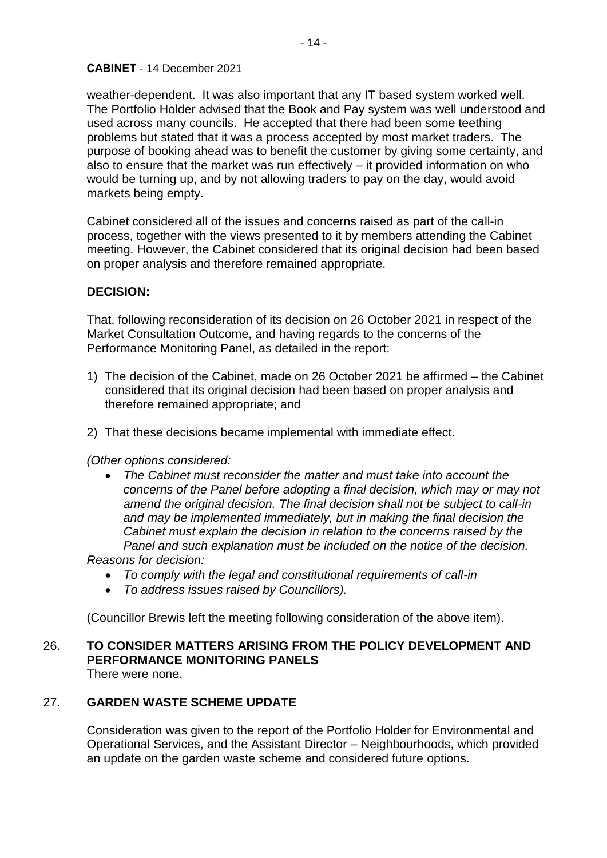weather-dependent. It was also important that any IT based system worked well. The Portfolio Holder advised that the Book and Pay system was well understood and used across many councils. He accepted that there had been some teething problems but stated that it was a process accepted by most market traders. The purpose of booking ahead was to benefit the customer by giving some certainty, and also to ensure that the market was run effectively – it provided information on who would be turning up, and by not allowing traders to pay on the day, would avoid markets being empty.

Cabinet considered all of the issues and concerns raised as part of the call-in process, together with the views presented to it by members attending the Cabinet meeting. However, the Cabinet considered that its original decision had been based on proper analysis and therefore remained appropriate.

# **DECISION:**

That, following reconsideration of its decision on 26 October 2021 in respect of the Market Consultation Outcome, and having regards to the concerns of the Performance Monitoring Panel, as detailed in the report:

- 1) The decision of the Cabinet, made on 26 October 2021 be affirmed the Cabinet considered that its original decision had been based on proper analysis and therefore remained appropriate; and
- 2) That these decisions became implemental with immediate effect.

#### *(Other options considered:*

• *The Cabinet must reconsider the matter and must take into account the concerns of the Panel before adopting a final decision, which may or may not amend the original decision. The final decision shall not be subject to call-in and may be implemented immediately, but in making the final decision the Cabinet must explain the decision in relation to the concerns raised by the Panel and such explanation must be included on the notice of the decision.* 

*Reasons for decision:* 

- *To comply with the legal and constitutional requirements of call-in*
- *To address issues raised by Councillors).*

(Councillor Brewis left the meeting following consideration of the above item).

# 26. **TO CONSIDER MATTERS ARISING FROM THE POLICY DEVELOPMENT AND PERFORMANCE MONITORING PANELS**

There were none.

# 27. **GARDEN WASTE SCHEME UPDATE**

Consideration was given to the report of the Portfolio Holder for Environmental and Operational Services, and the Assistant Director – Neighbourhoods, which provided an update on the garden waste scheme and considered future options.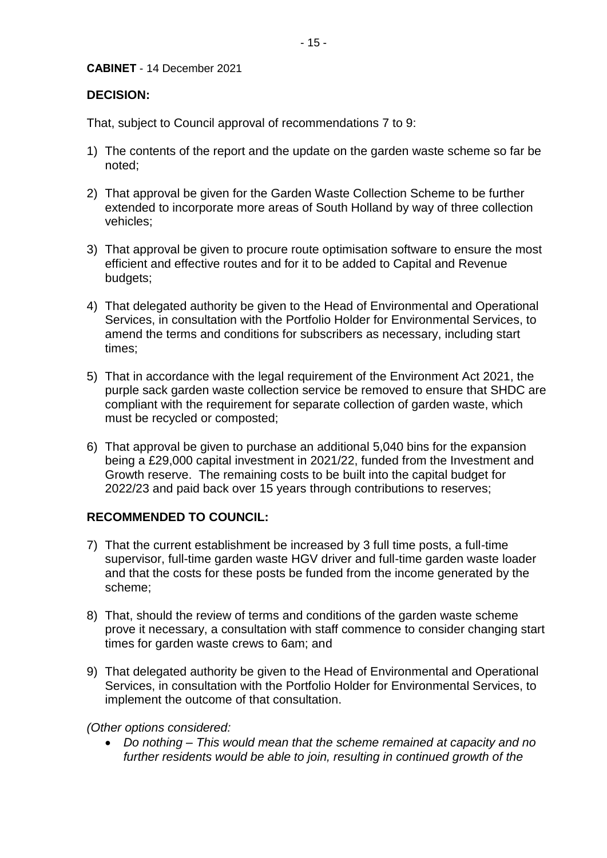# **DECISION:**

That, subject to Council approval of recommendations 7 to 9:

- 1) The contents of the report and the update on the garden waste scheme so far be noted;
- 2) That approval be given for the Garden Waste Collection Scheme to be further extended to incorporate more areas of South Holland by way of three collection vehicles;
- 3) That approval be given to procure route optimisation software to ensure the most efficient and effective routes and for it to be added to Capital and Revenue budgets;
- 4) That delegated authority be given to the Head of Environmental and Operational Services. in consultation with the Portfolio Holder for Environmental Services, to amend the terms and conditions for subscribers as necessary, including start times;
- 5) That in accordance with the legal requirement of the Environment Act 2021, the purple sack garden waste collection service be removed to ensure that SHDC are compliant with the requirement for separate collection of garden waste, which must be recycled or composted;
- 6) That approval be given to purchase an additional 5,040 bins for the expansion being a £29,000 capital investment in 2021/22, funded from the Investment and Growth reserve. The remaining costs to be built into the capital budget for 2022/23 and paid back over 15 years through contributions to reserves;

# **RECOMMENDED TO COUNCIL:**

- 7) That the current establishment be increased by 3 full time posts, a full-time supervisor, full-time garden waste HGV driver and full-time garden waste loader and that the costs for these posts be funded from the income generated by the scheme;
- 8) That, should the review of terms and conditions of the garden waste scheme prove it necessary, a consultation with staff commence to consider changing start times for garden waste crews to 6am; and
- 9) That delegated authority be given to the Head of Environmental and Operational Services, in consultation with the Portfolio Holder for Environmental Services, to implement the outcome of that consultation.
- *(Other options considered:* 
	- *Do nothing – This would mean that the scheme remained at capacity and no further residents would be able to join, resulting in continued growth of the*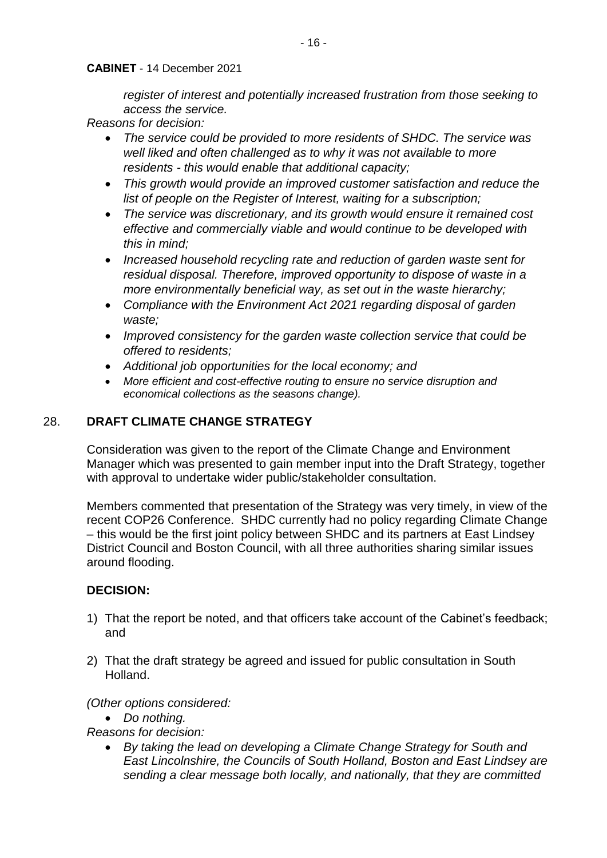*register of interest and potentially increased frustration from those seeking to access the service.*

*Reasons for decision:* 

- *The service could be provided to more residents of SHDC. The service was well liked and often challenged as to why it was not available to more residents - this would enable that additional capacity;*
- *This growth would provide an improved customer satisfaction and reduce the list of people on the Register of Interest, waiting for a subscription;*
- *The service was discretionary, and its growth would ensure it remained cost effective and commercially viable and would continue to be developed with this in mind;*
- *Increased household recycling rate and reduction of garden waste sent for residual disposal. Therefore, improved opportunity to dispose of waste in a more environmentally beneficial way, as set out in the waste hierarchy;*
- *Compliance with the Environment Act 2021 regarding disposal of garden waste;*
- *Improved consistency for the garden waste collection service that could be offered to residents;*
- *Additional job opportunities for the local economy; and*
- *More efficient and cost-effective routing to ensure no service disruption and economical collections as the seasons change).*

# 28. **DRAFT CLIMATE CHANGE STRATEGY**

Consideration was given to the report of the Climate Change and Environment Manager which was presented to gain member input into the Draft Strategy, together with approval to undertake wider public/stakeholder consultation.

Members commented that presentation of the Strategy was very timely, in view of the recent COP26 Conference. SHDC currently had no policy regarding Climate Change – this would be the first joint policy between SHDC and its partners at East Lindsey District Council and Boston Council, with all three authorities sharing similar issues around flooding.

# **DECISION:**

- 1) That the report be noted, and that officers take account of the Cabinet's feedback; and
- 2) That the draft strategy be agreed and issued for public consultation in South Holland.

# *(Other options considered:*

• *Do nothing.*

*Reasons for decision:* 

• *By taking the lead on developing a Climate Change Strategy for South and East Lincolnshire, the Councils of South Holland, Boston and East Lindsey are sending a clear message both locally, and nationally, that they are committed*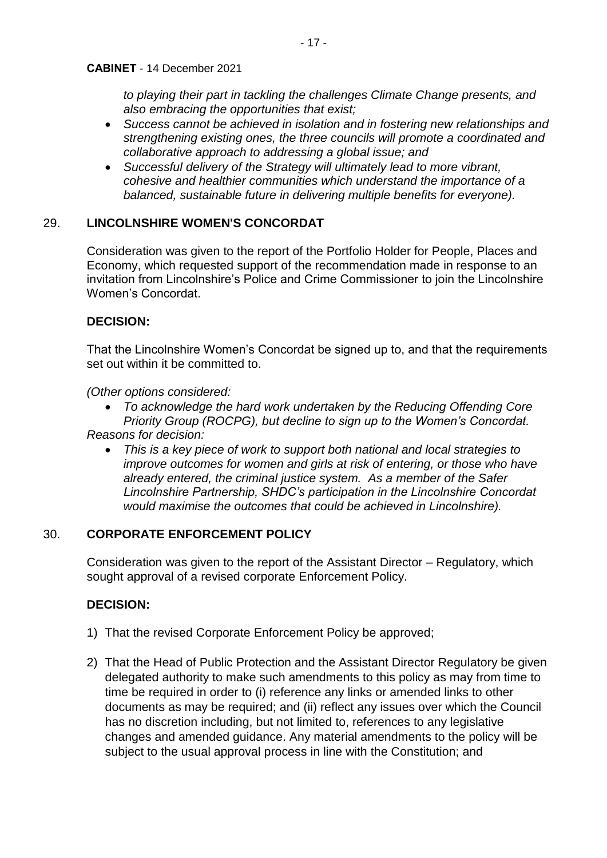*to playing their part in tackling the challenges Climate Change presents, and also embracing the opportunities that exist;*

- *Success cannot be achieved in isolation and in fostering new relationships and strengthening existing ones, the three councils will promote a coordinated and collaborative approach to addressing a global issue; and*
- *Successful delivery of the Strategy will ultimately lead to more vibrant, cohesive and healthier communities which understand the importance of a balanced, sustainable future in delivering multiple benefits for everyone).*

# 29. **LINCOLNSHIRE WOMEN'S CONCORDAT**

Consideration was given to the report of the Portfolio Holder for People, Places and Economy, which requested support of the recommendation made in response to an invitation from Lincolnshire's Police and Crime Commissioner to join the Lincolnshire Women's Concordat.

# **DECISION:**

That the Lincolnshire Women's Concordat be signed up to, and that the requirements set out within it be committed to.

*(Other options considered:* 

- *To acknowledge the hard work undertaken by the Reducing Offending Core Priority Group (ROCPG), but decline to sign up to the Women's Concordat. Reasons for decision:* 
	- *This is a key piece of work to support both national and local strategies to improve outcomes for women and girls at risk of entering, or those who have already entered, the criminal justice system. As a member of the Safer Lincolnshire Partnership, SHDC's participation in the Lincolnshire Concordat would maximise the outcomes that could be achieved in Lincolnshire).*

# 30. **CORPORATE ENFORCEMENT POLICY**

Consideration was given to the report of the Assistant Director – Regulatory, which sought approval of a revised corporate Enforcement Policy.

# **DECISION:**

- 1) That the revised Corporate Enforcement Policy be approved;
- 2) That the Head of Public Protection and the Assistant Director Regulatory be given delegated authority to make such amendments to this policy as may from time to time be required in order to (i) reference any links or amended links to other documents as may be required; and (ii) reflect any issues over which the Council has no discretion including, but not limited to, references to any legislative changes and amended guidance. Any material amendments to the policy will be subject to the usual approval process in line with the Constitution; and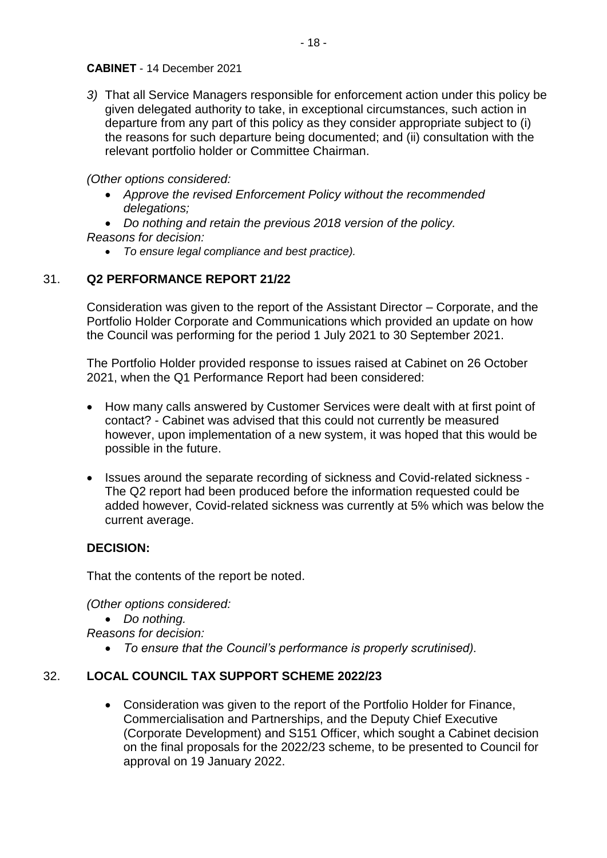*3)* That all Service Managers responsible for enforcement action under this policy be given delegated authority to take, in exceptional circumstances, such action in departure from any part of this policy as they consider appropriate subject to (i) the reasons for such departure being documented; and (ii) consultation with the relevant portfolio holder or Committee Chairman.

*(Other options considered:* 

- *Approve the revised Enforcement Policy without the recommended delegations;*
- *Do nothing and retain the previous 2018 version of the policy. Reasons for decision:* 
	- *To ensure legal compliance and best practice).*

# 31. **Q2 PERFORMANCE REPORT 21/22**

Consideration was given to the report of the Assistant Director – Corporate, and the Portfolio Holder Corporate and Communications which provided an update on how the Council was performing for the period 1 July 2021 to 30 September 2021.

The Portfolio Holder provided response to issues raised at Cabinet on 26 October 2021, when the Q1 Performance Report had been considered:

- How many calls answered by Customer Services were dealt with at first point of contact? - Cabinet was advised that this could not currently be measured however, upon implementation of a new system, it was hoped that this would be possible in the future.
- Issues around the separate recording of sickness and Covid-related sickness The Q2 report had been produced before the information requested could be added however, Covid-related sickness was currently at 5% which was below the current average.

# **DECISION:**

That the contents of the report be noted.

*(Other options considered:* 

• *Do nothing.*

*Reasons for decision:* 

• *To ensure that the Council's performance is properly scrutinised).*

# 32. **LOCAL COUNCIL TAX SUPPORT SCHEME 2022/23**

• Consideration was given to the report of the Portfolio Holder for Finance, Commercialisation and Partnerships, and the Deputy Chief Executive (Corporate Development) and S151 Officer, which sought a Cabinet decision on the final proposals for the 2022/23 scheme, to be presented to Council for approval on 19 January 2022.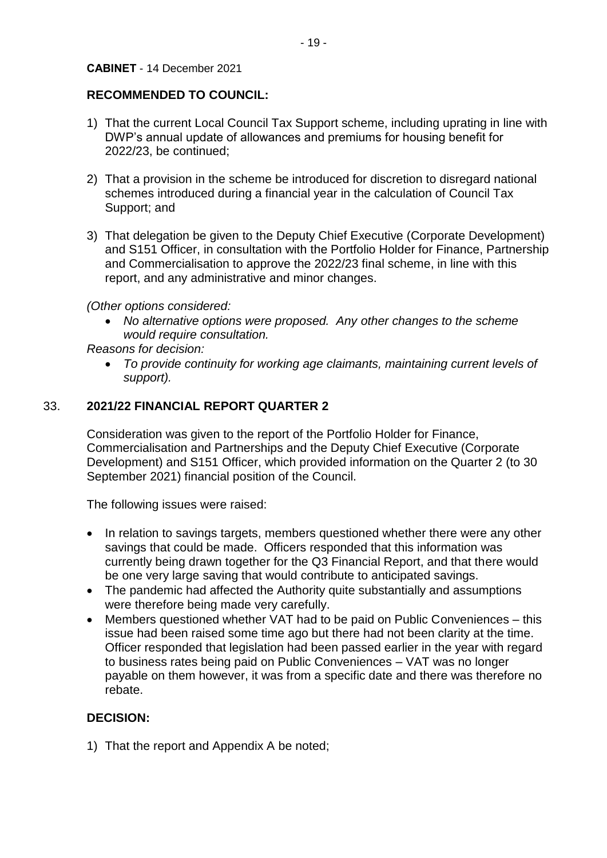# **RECOMMENDED TO COUNCIL:**

- 1) That the current Local Council Tax Support scheme, including uprating in line with DWP's annual update of allowances and premiums for housing benefit for 2022/23, be continued;
- 2) That a provision in the scheme be introduced for discretion to disregard national schemes introduced during a financial year in the calculation of Council Tax Support; and
- 3) That delegation be given to the Deputy Chief Executive (Corporate Development) and S151 Officer, in consultation with the Portfolio Holder for Finance, Partnership and Commercialisation to approve the 2022/23 final scheme, in line with this report, and any administrative and minor changes.

*(Other options considered:* 

• *No alternative options were proposed. Any other changes to the scheme would require consultation.*

*Reasons for decision:* 

• *To provide continuity for working age claimants, maintaining current levels of support).*

# 33. **2021/22 FINANCIAL REPORT QUARTER 2**

Consideration was given to the report of the Portfolio Holder for Finance, Commercialisation and Partnerships and the Deputy Chief Executive (Corporate Development) and S151 Officer, which provided information on the Quarter 2 (to 30 September 2021) financial position of the Council.

The following issues were raised:

- In relation to savings targets, members questioned whether there were any other savings that could be made. Officers responded that this information was currently being drawn together for the Q3 Financial Report, and that there would be one very large saving that would contribute to anticipated savings.
- The pandemic had affected the Authority quite substantially and assumptions were therefore being made very carefully.
- Members questioned whether VAT had to be paid on Public Conveniences this issue had been raised some time ago but there had not been clarity at the time. Officer responded that legislation had been passed earlier in the year with regard to business rates being paid on Public Conveniences – VAT was no longer payable on them however, it was from a specific date and there was therefore no rebate.

# **DECISION:**

1) That the report and Appendix A be noted;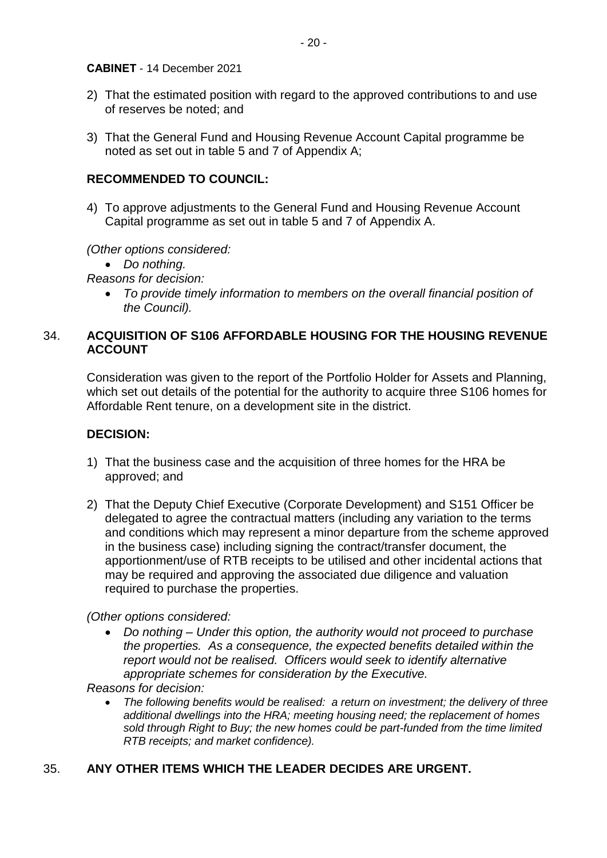- 2) That the estimated position with regard to the approved contributions to and use of reserves be noted; and
- 3) That the General Fund and Housing Revenue Account Capital programme be noted as set out in table 5 and 7 of Appendix A;

# **RECOMMENDED TO COUNCIL:**

4) To approve adjustments to the General Fund and Housing Revenue Account Capital programme as set out in table 5 and 7 of Appendix A.

*(Other options considered:* 

• *Do nothing.*

*Reasons for decision:* 

• *To provide timely information to members on the overall financial position of the Council).*

# 34. **ACQUISITION OF S106 AFFORDABLE HOUSING FOR THE HOUSING REVENUE ACCOUNT**

Consideration was given to the report of the Portfolio Holder for Assets and Planning, which set out details of the potential for the authority to acquire three S106 homes for Affordable Rent tenure, on a development site in the district.

# **DECISION:**

- 1) That the business case and the acquisition of three homes for the HRA be approved; and
- 2) That the Deputy Chief Executive (Corporate Development) and S151 Officer be delegated to agree the contractual matters (including any variation to the terms and conditions which may represent a minor departure from the scheme approved in the business case) including signing the contract/transfer document, the apportionment/use of RTB receipts to be utilised and other incidental actions that may be required and approving the associated due diligence and valuation required to purchase the properties.

*(Other options considered:* 

• *Do nothing – Under this option, the authority would not proceed to purchase the properties. As a consequence, the expected benefits detailed within the report would not be realised. Officers would seek to identify alternative appropriate schemes for consideration by the Executive.*

*Reasons for decision:* 

• *The following benefits would be realised: a return on investment; the delivery of three additional dwellings into the HRA; meeting housing need; the replacement of homes sold through Right to Buy; the new homes could be part-funded from the time limited RTB receipts; and market confidence).*

# 35. **ANY OTHER ITEMS WHICH THE LEADER DECIDES ARE URGENT.**